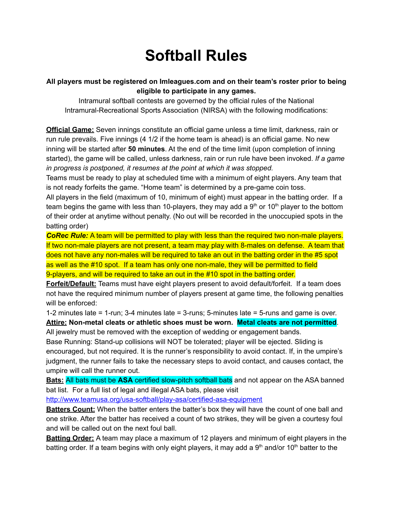## **Softball Rules**

## **All players must be registered on Imleagues.com and on their team's roster prior to being eligible to participate in any games.**

Intramural softball contests are governed by the official rules of the National Intramural-Recreational Sports Association (NIRSA) with the following modifications:

**Official Game:** Seven innings constitute an official game unless a time limit, darkness, rain or run rule prevails. Five innings (4 1/2 if the home team is ahead) is an official game. No new inning will be started after **50 minutes**. At the end of the time limit (upon completion of inning started), the game will be called, unless darkness, rain or run rule have been invoked. *If a game in progress is postponed, it resumes at the point at which it was stopped.*

Teams must be ready to play at scheduled time with a minimum of eight players. Any team that is not ready forfeits the game. "Home team" is determined by a pre-game coin toss.

All players in the field (maximum of 10, minimum of eight) must appear in the batting order. If a team begins the game with less than 10-players, they may add a 9<sup>th</sup> or 10<sup>th</sup> player to the bottom of their order at anytime without penalty. (No out will be recorded in the unoccupied spots in the batting order)

*CoRec Rule:* A team will be permitted to play with less than the required two non-male players. If two non-male players are not present, a team may play with 8-males on defense. A team that does not have any non-males will be required to take an out in the batting order in the #5 spot as well as the #10 spot. If a team has only one non-male, they will be permitted to field 9-players, and will be required to take an out in the #10 spot in the batting order.

**Forfeit/Default:** Teams must have eight players present to avoid default/forfeit. If a team does not have the required minimum number of players present at game time, the following penalties will be enforced:

1-2 minutes late = 1-run; 3-4 minutes late = 3-runs; 5-minutes late = 5-runs and game is over.

**Attire: Non-metal cleats or athletic shoes must be worn. Metal cleats are not permitted**. All jewelry must be removed with the exception of wedding or engagement bands.

Base Running: Stand-up collisions will NOT be tolerated; player will be ejected. Sliding is encouraged, but not required. It is the runner's responsibility to avoid contact. If, in the umpire's judgment, the runner fails to take the necessary steps to avoid contact, and causes contact, the umpire will call the runner out.

**Bats:** All bats must be **ASA** certified slow-pitch softball bats and not appear on the ASA banned bat list. For a full list of legal and illegal ASA bats, please visit

<http://www.teamusa.org/usa-softball/play-asa/certified-asa-equipment>

**Batters Count:** When the batter enters the batter's box they will have the count of one ball and one strike. After the batter has received a count of two strikes, they will be given a courtesy foul and will be called out on the next foul ball.

**Batting Order:** A team may place a maximum of 12 players and minimum of eight players in the batting order. If a team begins with only eight players, it may add a 9<sup>th</sup> and/or 10<sup>th</sup> batter to the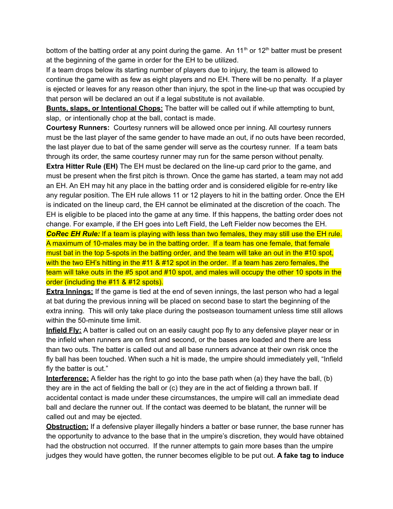bottom of the batting order at any point during the game. An 11<sup>th</sup> or 12<sup>th</sup> batter must be present at the beginning of the game in order for the EH to be utilized.

If a team drops below its starting number of players due to injury, the team is allowed to continue the game with as few as eight players and no EH. There will be no penalty. If a player is ejected or leaves for any reason other than injury, the spot in the line-up that was occupied by that person will be declared an out if a legal substitute is not available.

**Bunts, slaps, or Intentional Chops:** The batter will be called out if while attempting to bunt, slap, or intentionally chop at the ball, contact is made.

**Courtesy Runners:** Courtesy runners will be allowed once per inning. All courtesy runners must be the last player of the same gender to have made an out, if no outs have been recorded, the last player due to bat of the same gender will serve as the courtesy runner. If a team bats through its order, the same courtesy runner may run for the same person without penalty.

**Extra Hitter Rule (EH)** The EH must be declared on the line-up card prior to the game, and must be present when the first pitch is thrown. Once the game has started, a team may not add an EH. An EH may hit any place in the batting order and is considered eligible for re-entry like any regular position. The EH rule allows 11 or 12 players to hit in the batting order. Once the EH is indicated on the lineup card, the EH cannot be eliminated at the discretion of the coach. The EH is eligible to be placed into the game at any time. If this happens, the batting order does not change. For example, if the EH goes into Left Field, the Left Fielder now becomes the EH.

*CoRec EH Rule:* If a team is playing with less than two females, they may still use the EH rule. A maximum of 10-males may be in the batting order. If a team has one female, that female must bat in the top 5-spots in the batting order, and the team will take an out in the #10 spot, with the two EH's hitting in the #11 & #12 spot in the order. If a team has zero females, the team will take outs in the #5 spot and #10 spot, and males will occupy the other 10 spots in the order (including the #11 & #12 spots).

**Extra Innings:** If the game is tied at the end of seven innings, the last person who had a legal at bat during the previous inning will be placed on second base to start the beginning of the extra inning. This will only take place during the postseason tournament unless time still allows within the 50-minute time limit.

**Infield Fly:** A batter is called out on an easily caught pop fly to any defensive player near or in the infield when runners are on first and second, or the bases are loaded and there are less than two outs. The batter is called out and all base runners advance at their own risk once the fly ball has been touched. When such a hit is made, the umpire should immediately yell, "Infield fly the batter is out."

**Interference:** A fielder has the right to go into the base path when (a) they have the ball, (b) they are in the act of fielding the ball or (c) they are in the act of fielding a thrown ball. If accidental contact is made under these circumstances, the umpire will call an immediate dead ball and declare the runner out. If the contact was deemed to be blatant, the runner will be called out and may be ejected.

**Obstruction:** If a defensive player illegally hinders a batter or base runner, the base runner has the opportunity to advance to the base that in the umpire's discretion, they would have obtained had the obstruction not occurred. If the runner attempts to gain more bases than the umpire judges they would have gotten, the runner becomes eligible to be put out. **A fake tag to induce**